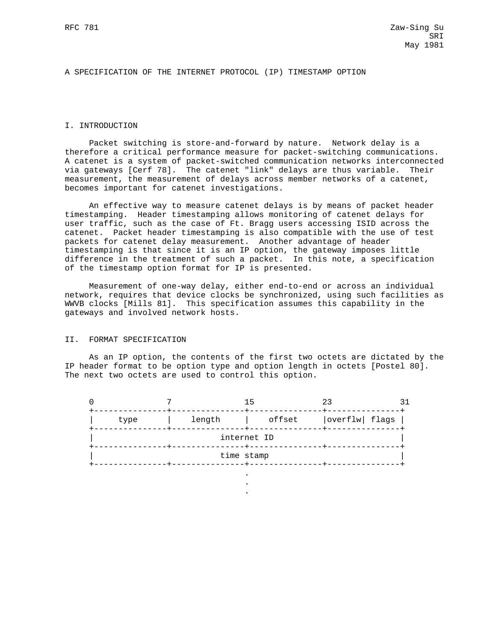A SPECIFICATION OF THE INTERNET PROTOCOL (IP) TIMESTAMP OPTION

## I. INTRODUCTION

 Packet switching is store-and-forward by nature. Network delay is a therefore a critical performance measure for packet-switching communications. A catenet is a system of packet-switched communication networks interconnected via gateways [Cerf 78]. The catenet "link" delays are thus variable. Their measurement, the measurement of delays across member networks of a catenet, becomes important for catenet investigations.

 An effective way to measure catenet delays is by means of packet header timestamping. Header timestamping allows monitoring of catenet delays for user traffic, such as the case of Ft. Bragg users accessing ISID across the catenet. Packet header timestamping is also compatible with the use of test packets for catenet delay measurement. Another advantage of header timestamping is that since it is an IP option, the gateway imposes little difference in the treatment of such a packet. In this note, a specification of the timestamp option format for IP is presented.

 Measurement of one-way delay, either end-to-end or across an individual network, requires that device clocks be synchronized, using such facilities as WWVB clocks [Mills 81]. This specification assumes this capability in the gateways and involved network hosts.

## II. FORMAT SPECIFICATION

 . **.** The contract of the contract of the contract of the contract of the contract of the contract of the contract of

 As an IP option, the contents of the first two octets are dictated by the IP header format to be option type and option length in octets [Postel 80]. The next two octets are used to control this option.

|             |        | 1 ⊑    | 23             |  |
|-------------|--------|--------|----------------|--|
| type        | length | offset | overflw  flags |  |
| internet ID |        |        |                |  |
| time stamp  |        |        |                |  |
|             |        |        |                |  |